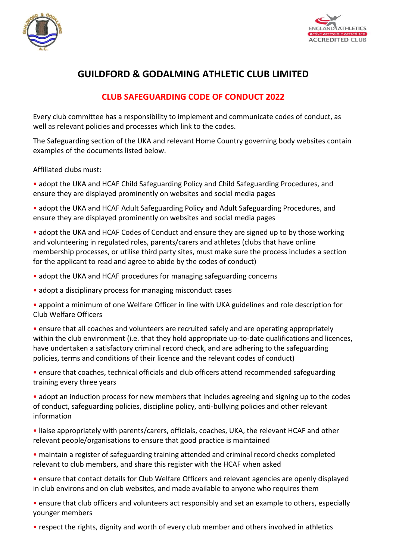



## **GUILDFORD & GODALMING ATHLETIC CLUB LIMITED**

## **CLUB SAFEGUARDING CODE OF CONDUCT 2022**

Every club committee has a responsibility to implement and communicate codes of conduct, as well as relevant policies and processes which link to the codes.

The Safeguarding section of the UKA and relevant Home Country governing body websites contain examples of the documents listed below.

Affiliated clubs must:

• adopt the UKA and HCAF Child Safeguarding Policy and Child Safeguarding Procedures, and ensure they are displayed prominently on websites and social media pages

• adopt the UKA and HCAF Adult Safeguarding Policy and Adult Safeguarding Procedures, and ensure they are displayed prominently on websites and social media pages

• adopt the UKA and HCAF Codes of Conduct and ensure they are signed up to by those working and volunteering in regulated roles, parents/carers and athletes (clubs that have online membership processes, or utilise third party sites, must make sure the process includes a section for the applicant to read and agree to abide by the codes of conduct)

- adopt the UKA and HCAF procedures for managing safeguarding concerns
- adopt a disciplinary process for managing misconduct cases
- appoint a minimum of one Welfare Officer in line with UKA guidelines and role description for Club Welfare Officers

• ensure that all coaches and volunteers are recruited safely and are operating appropriately within the club environment (i.e. that they hold appropriate up-to-date qualifications and licences, have undertaken a satisfactory criminal record check, and are adhering to the safeguarding policies, terms and conditions of their licence and the relevant codes of conduct)

• ensure that coaches, technical officials and club officers attend recommended safeguarding training every three years

• adopt an induction process for new members that includes agreeing and signing up to the codes of conduct, safeguarding policies, discipline policy, anti-bullying policies and other relevant information

• liaise appropriately with parents/carers, officials, coaches, UKA, the relevant HCAF and other relevant people/organisations to ensure that good practice is maintained

• maintain a register of safeguarding training attended and criminal record checks completed relevant to club members, and share this register with the HCAF when asked

• ensure that contact details for Club Welfare Officers and relevant agencies are openly displayed in club environs and on club websites, and made available to anyone who requires them

• ensure that club officers and volunteers act responsibly and set an example to others, especially younger members

• respect the rights, dignity and worth of every club member and others involved in athletics